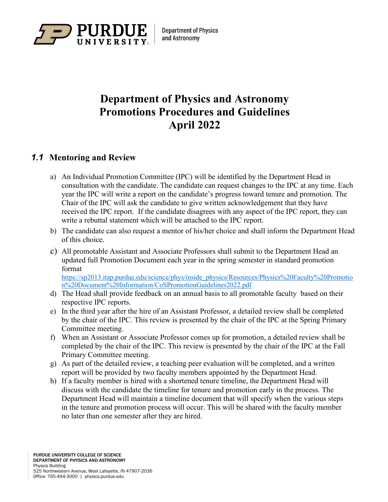

# **Department of Physics and Astronomy Promotions Procedures and Guidelines April 2022**

# *1.1* **Mentoring and Review**

- a) An Individual Promotion Committee (IPC) will be identified by the Department Head in consultation with the candidate. The candidate can request changes to the IPC at any time. Each year the IPC will write a report on the candidate's progress toward tenure and promotion. The Chair of the IPC will ask the candidate to give written acknowledgement that they have received the IPC report. If the candidate disagrees with any aspect of the IPC report, they can write a rebuttal statement which will be attached to the IPC report.
- b) The candidate can also request a mentor of his/her choice and shall inform the Department Head of this choice.
- c) All promotable Assistant and Associate Professors shall submit to the Department Head an updated full Promotion Document each year in the spring semester in standard promotion format

[https://sp2013.itap.purdue.edu/science/phys/inside\\_physics/Resources/Physics%20Faculty%20Promotio](https://sp2013.itap.purdue.edu/science/phys/inside_physics/Resources/Physics%20Faculty%20Promotion%20Document%20Information/CoSPromotionGuidelines2022.pdf) [n%20Document%20Information/CoSPromotionGuidelines2022.pdf](https://sp2013.itap.purdue.edu/science/phys/inside_physics/Resources/Physics%20Faculty%20Promotion%20Document%20Information/CoSPromotionGuidelines2022.pdf)

- d) The Head shall provide feedback on an annual basis to all promotable faculty based on their respective IPC reports.
- e) In the third year after the hire of an Assistant Professor, a detailed review shall be completed by the chair of the IPC. This review is presented by the chair of the IPC at the Spring Primary Committee meeting.
- f) When an Assistant or Associate Professor comes up for promotion, a detailed review shall be completed by the chair of the IPC. This review is presented by the chair of the IPC at the Fall Primary Committee meeting.
- g) As part of the detailed review, a teaching peer evaluation will be completed, and a written report will be provided by two faculty members appointed by the Department Head.
- h) If a faculty member is hired with a shortened tenure timeline, the Department Head will discuss with the candidate the timeline for tenure and promotion early in the process. The Department Head will maintain a timeline document that will specify when the various steps in the tenure and promotion process will occur. This will be shared with the faculty member no later than one semester after they are hired.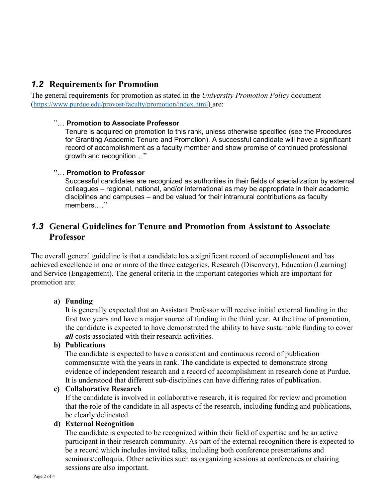# *1.2* **Requirements for Promotion**

The general requirements for promotion as stated in the *University Promotion Policy* document [\(https://www.purdue.edu/provost/faculty/promotion/index.html\)](https://www.purdue.edu/provost/faculty/promotion/index.html) are:

## "… **Promotion to Associate Professor**

Tenure is acquired on promotion to this rank, unless otherwise specified (see the Procedures for Granting Academic Tenure and Promotion). A successful candidate will have a significant record of accomplishment as a faculty member and show promise of continued professional growth and recognition…"

#### "… **Promotion to Professor**

Successful candidates are recognized as authorities in their fields of specialization by external colleagues – regional, national, and/or international as may be appropriate in their academic disciplines and campuses – and be valued for their intramural contributions as faculty members...."

# *1.3* **General Guidelines for Tenure and Promotion from Assistant to Associate Professor**

The overall general guideline is that a candidate has a significant record of accomplishment and has achieved excellence in one or more of the three categories, Research (Discovery), Education (Learning) and Service (Engagement). The general criteria in the important categories which are important for promotion are:

## **a) Funding**

It is generally expected that an Assistant Professor will receive initial external funding in the first two years and have a major source of funding in the third year. At the time of promotion, the candidate is expected to have demonstrated the ability to have sustainable funding to cover *all* costs associated with their research activities.

## **b) Publications**

The candidate is expected to have a consistent and continuous record of publication commensurate with the years in rank. The candidate is expected to demonstrate strong evidence of independent research and a record of accomplishment in research done at Purdue. It is understood that different sub-disciplines can have differing rates of publication.

#### **c) Collaborative Research**

If the candidate is involved in collaborative research, it is required for review and promotion that the role of the candidate in all aspects of the research, including funding and publications, be clearly delineated.

## **d) External Recognition**

The candidate is expected to be recognized within their field of expertise and be an active participant in their research community. As part of the external recognition there is expected to be a record which includes invited talks, including both conference presentations and seminars/colloquia. Other activities such as organizing sessions at conferences or chairing sessions are also important.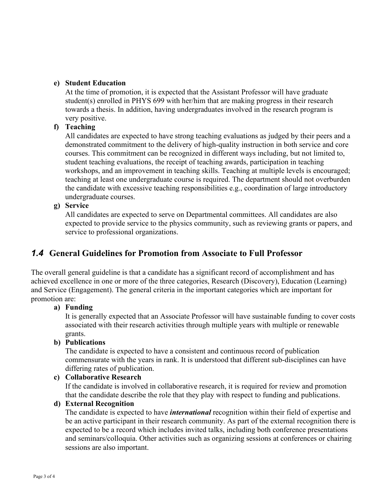# **e) Student Education**

At the time of promotion, it is expected that the Assistant Professor will have graduate student(s) enrolled in PHYS 699 with her/him that are making progress in their research towards a thesis. In addition, having undergraduates involved in the research program is very positive.

# **f) Teaching**

All candidates are expected to have strong teaching evaluations as judged by their peers and a demonstrated commitment to the delivery of high-quality instruction in both service and core courses. This commitment can be recognized in different ways including, but not limited to, student teaching evaluations, the receipt of teaching awards, participation in teaching workshops, and an improvement in teaching skills. Teaching at multiple levels is encouraged; teaching at least one undergraduate course is required. The department should not overburden the candidate with excessive teaching responsibilities e.g., coordination of large introductory undergraduate courses.

**g) Service**

All candidates are expected to serve on Departmental committees. All candidates are also expected to provide service to the physics community, such as reviewing grants or papers, and service to professional organizations.

# *1.4* **General Guidelines for Promotion from Associate to Full Professor**

The overall general guideline is that a candidate has a significant record of accomplishment and has achieved excellence in one or more of the three categories, Research (Discovery), Education (Learning) and Service (Engagement). The general criteria in the important categories which are important for promotion are:

# **a) Funding**

It is generally expected that an Associate Professor will have sustainable funding to cover costs associated with their research activities through multiple years with multiple or renewable grants.

## **b) Publications**

The candidate is expected to have a consistent and continuous record of publication commensurate with the years in rank. It is understood that different sub-disciplines can have differing rates of publication.

## **c) Collaborative Research**

If the candidate is involved in collaborative research, it is required for review and promotion that the candidate describe the role that they play with respect to funding and publications.

## **d) External Recognition**

The candidate is expected to have *international* recognition within their field of expertise and be an active participant in their research community. As part of the external recognition there is expected to be a record which includes invited talks, including both conference presentations and seminars/colloquia. Other activities such as organizing sessions at conferences or chairing sessions are also important.